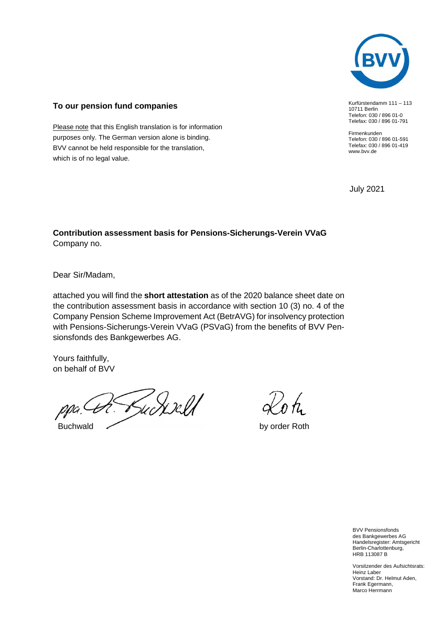

Kurfürstendamm 111 – 113

10711 Berlin Telefon: 030 / 896 01-0 Telefax: 030 / 896 01-791

Firmenkunden Telefon: 030 / 896 01-591 Telefax: 030 / 896 01-419

www.bvv.de

## **To our pension fund companies**

Please note that this English translation is for information purposes only. The German version alone is binding. BVV cannot be held responsible for the translation, which is of no legal value.

July 2021

## **Contribution assessment basis for Pensions-Sicherungs-Verein VVaG**  Company no.

Dear Sir/Madam,

attached you will find the **short attestation** as of the 2020 balance sheet date on the contribution assessment basis in accordance with section 10 (3) no. 4 of the Company Pension Scheme Improvement Act (BetrAVG) for insolvency protection with Pensions-Sicherungs-Verein VVaG (PSVaG) from the benefits of BVV Pensionsfonds des Bankgewerbes AG.

Yours faithfully, on behalf of BVV

rudiselt Buchwald by order Roth

BVV Pensionsfonds des Bankgewerbes AG Handelsregister: Amtsgericht Berlin-Charlottenburg, HRB 113087 B

Vorsitzender des Aufsichtsrats: Heinz Laber Vorstand: Dr. Helmut Aden, Frank Egermann, Marco Herrmann